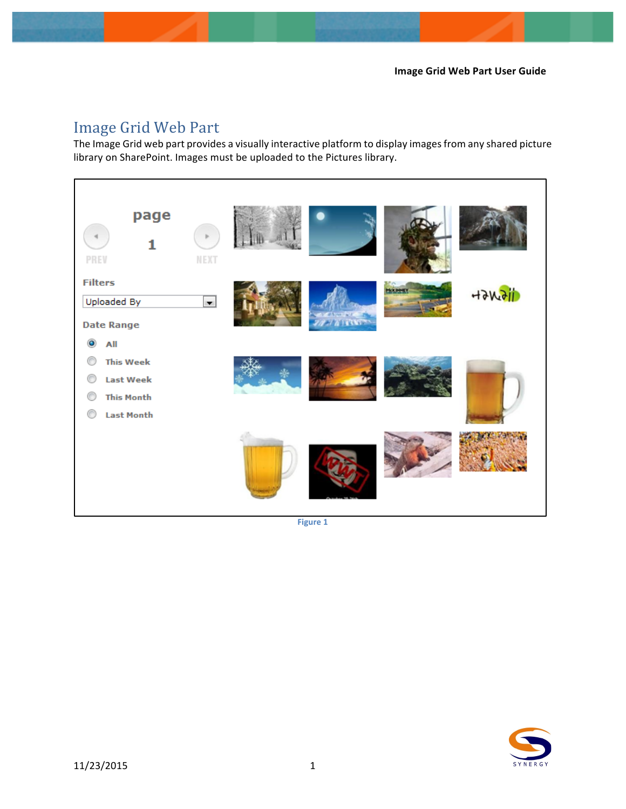# Image Grid Web Part

The Image Grid web part provides a visually interactive platform to display images from any shared picture library on SharePoint. Images must be uploaded to the Pictures library.



**Figure 1** 

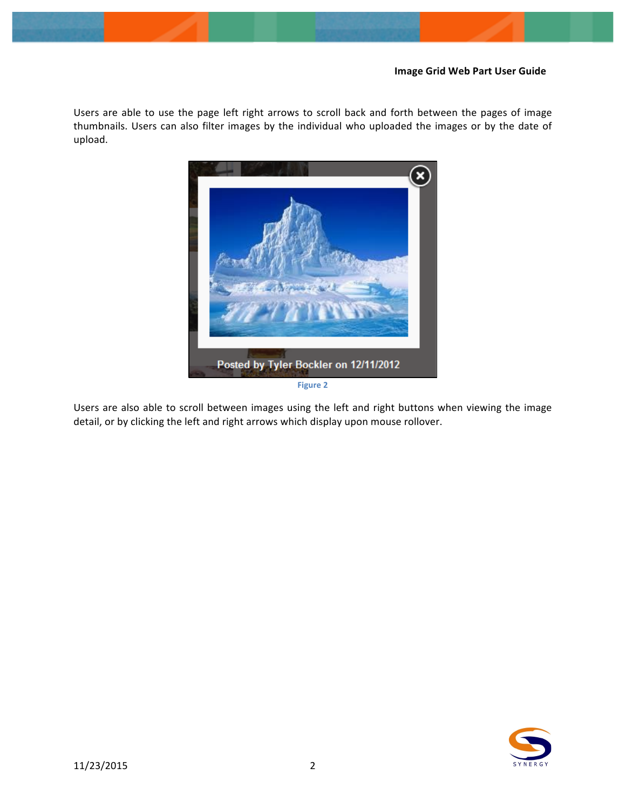Users are able to use the page left right arrows to scroll back and forth between the pages of image thumbnails. Users can also filter images by the individual who uploaded the images or by the date of upload. 



Users are also able to scroll between images using the left and right buttons when viewing the image detail, or by clicking the left and right arrows which display upon mouse rollover.

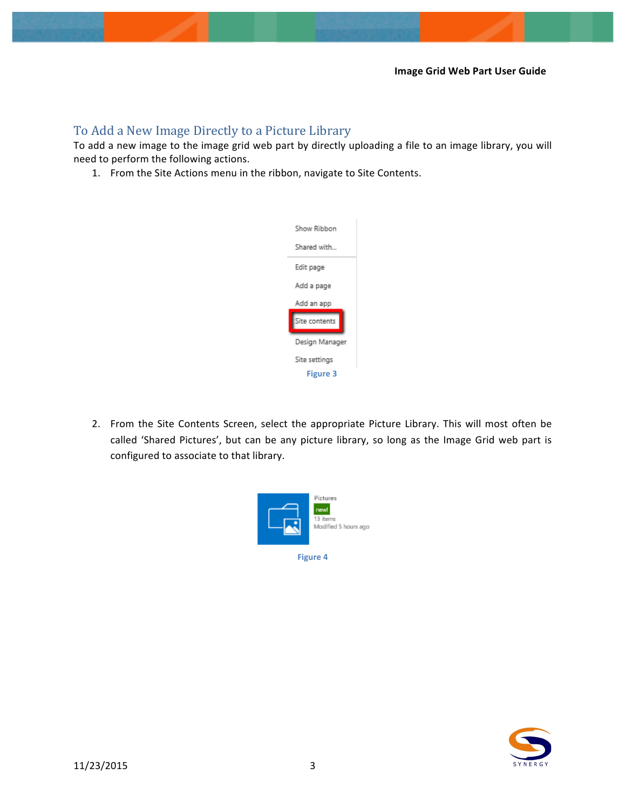# To Add a New Image Directly to a Picture Library

To add a new image to the image grid web part by directly uploading a file to an image library, you will need to perform the following actions.

1. From the Site Actions menu in the ribbon, navigate to Site Contents.



2. From the Site Contents Screen, select the appropriate Picture Library. This will most often be called 'Shared Pictures', but can be any picture library, so long as the Image Grid web part is configured to associate to that library.



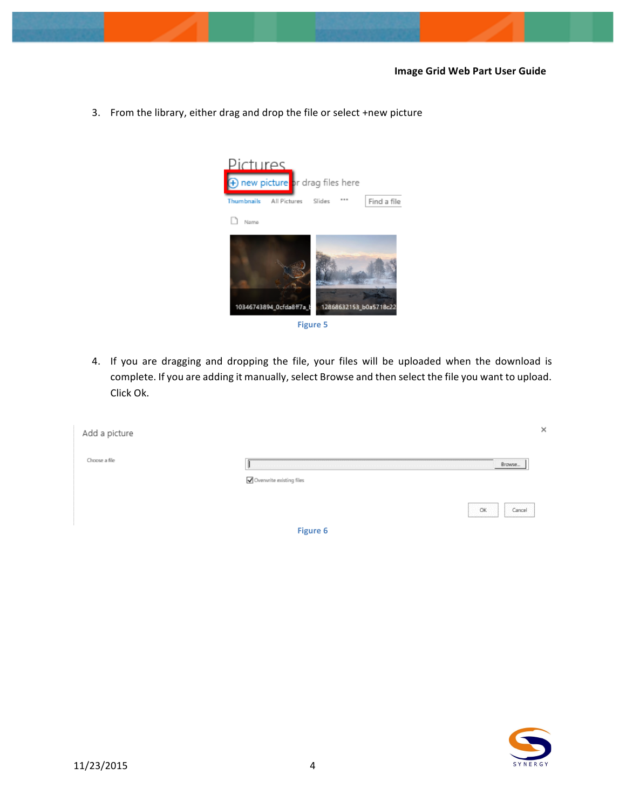3. From the library, either drag and drop the file or select +new picture





4. If you are dragging and dropping the file, your files will be uploaded when the download is complete. If you are adding it manually, select Browse and then select the file you want to upload. Click Ok.

| Add a picture |                          |    |                 |
|---------------|--------------------------|----|-----------------|
| Choose a file |                          |    | Brawse          |
|               | Overwrite existing files | OK | Cancel          |
|               | <b>Figure 6</b>          |    | <b>State on</b> |

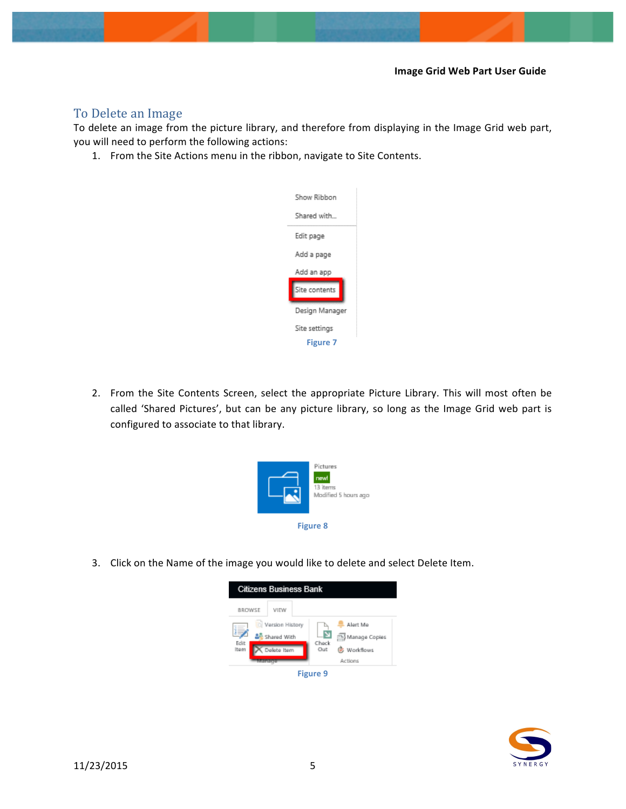## To Delete an Image

To delete an image from the picture library, and therefore from displaying in the Image Grid web part, you will need to perform the following actions:

1. From the Site Actions menu in the ribbon, navigate to Site Contents.



2. From the Site Contents Screen, select the appropriate Picture Library. This will most often be called 'Shared Pictures', but can be any picture library, so long as the Image Grid web part is configured to associate to that library.



3. Click on the Name of the image you would like to delete and select Delete Item.



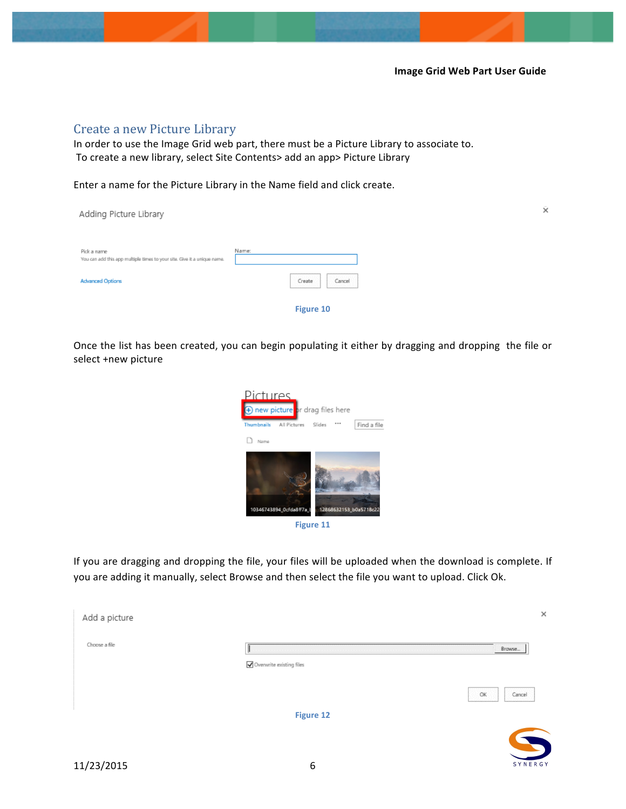### Create a new Picture Library

In order to use the Image Grid web part, there must be a Picture Library to associate to. To create a new library, select Site Contents> add an app> Picture Library

Enter a name for the Picture Library in the Name field and click create.

| Adding Picture Library                                                                  |                                                              | $\bar{\times}$ |
|-----------------------------------------------------------------------------------------|--------------------------------------------------------------|----------------|
| Pick a name<br>You can add this app multiple times to your site. Give it a unique name. | Name:                                                        |                |
| <b>Advanced Options</b>                                                                 | istetet viet viet vie<br>erretetetetetet<br>Cancel<br>Create |                |
|                                                                                         | Figure 10                                                    |                |

Once the list has been created, you can begin populating it either by dragging and dropping the file or select +new picture





If you are dragging and dropping the file, your files will be uploaded when the download is complete. If you are adding it manually, select Browse and then select the file you want to upload. Click Ok.

| Add a picture |                          |              |
|---------------|--------------------------|--------------|
| Choose a file |                          | Brawse       |
|               | Overwrite existing files |              |
|               |                          | OK<br>Cancel |
|               |                          |              |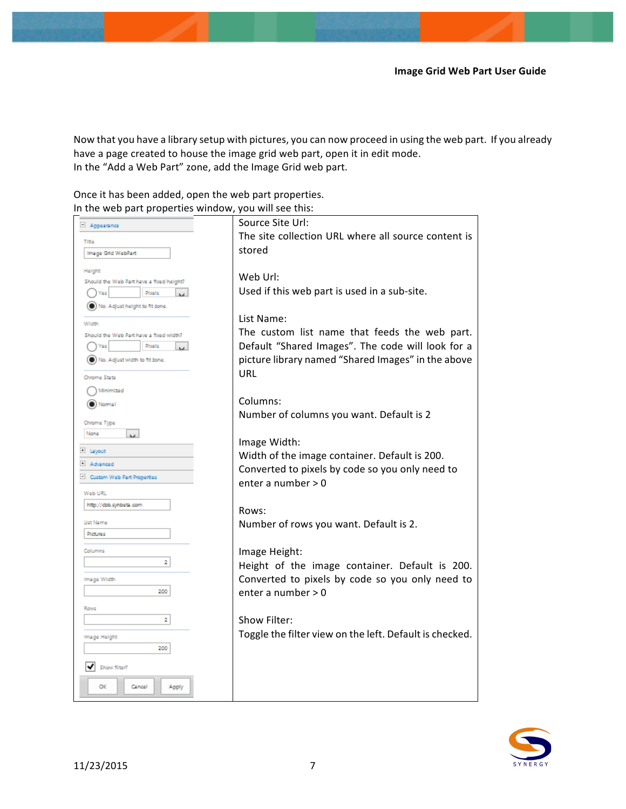Now that you have a library setup with pictures, you can now proceed in using the web part. If you already have a page created to house the image grid web part, open it in edit mode. In the "Add a Web Part" zone, add the Image Grid web part.

| Once it has been added, open the web part properties. |  |
|-------------------------------------------------------|--|
| In the web part properties window, you will see this: |  |

| Appearance                                         | Source Site Url:                                        |
|----------------------------------------------------|---------------------------------------------------------|
| Title                                              | The site collection URL where all source content is     |
| Image Grid WebPart                                 | stored                                                  |
|                                                    |                                                         |
| Height                                             | Web Url:                                                |
| Should the Web Part have a fixed height?<br>Placis | Used if this web part is used in a sub-site.            |
|                                                    |                                                         |
| (C) No. Adjust height to fit zone.                 | List Name:                                              |
| Width                                              |                                                         |
| Should the Web Part have a fixed width?            | The custom list name that feeds the web part.           |
| Ploels<br>Yes                                      | Default "Shared Images". The code will look for a       |
| (C) No. Adjust width to fit zone.                  | picture library named "Shared Images" in the above      |
| Chrome State                                       | URL                                                     |
| Minimized                                          |                                                         |
| (C) Normal                                         | Columns:                                                |
|                                                    | Number of columns you want. Default is 2                |
| Chrome Type                                        |                                                         |
| None<br><b>M</b>                                   | Image Width:                                            |
| ± Layout                                           | Width of the image container. Default is 200.           |
| + Advanced                                         | Converted to pixels by code so you only need to         |
| - Custom Web Part Properties                       | enter a number > 0                                      |
| Web URL                                            |                                                         |
| http://cbb.synbeta.com                             | Rows:                                                   |
| <b>List Name</b>                                   |                                                         |
| <b>Pictures</b>                                    | Number of rows you want. Default is 2.                  |
|                                                    |                                                         |
| Columns<br>2                                       | Image Height:                                           |
|                                                    | Height of the image container. Default is 200.          |
| Image Width                                        | Converted to pixels by code so you only need to         |
| 200                                                | enter a number > 0                                      |
| Rows                                               |                                                         |
| 2                                                  | Show Filter:                                            |
| Image Height                                       | Toggle the filter view on the left. Default is checked. |
| 200                                                |                                                         |
|                                                    |                                                         |
| Show filter?                                       |                                                         |
| Cancel<br>OK<br>Apply                              |                                                         |
|                                                    |                                                         |